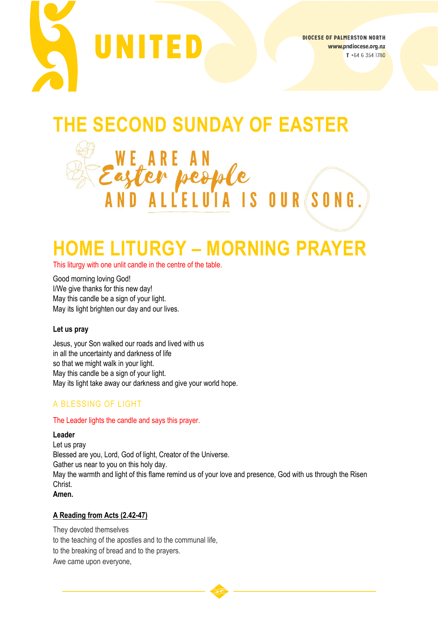

**DIOCESE OF PALMERSTON NORTH** www.pndiocese.org.nz T +64 6 354 1780

# **THE SECOND SUNDAY OF EASTER**

Easter people<br>Easter people<br>AND ALLELUIA IS OUR

# **HOME LITURGY – MORNING PRAYER**

This liturgy with one unlit candle in the centre of the table.

we ar<br>aşter

Good morning loving God! I/We give thanks for this new day! May this candle be a sign of your light. May its light brighten our day and our lives.

#### **Let us pray**

Jesus, your Son walked our roads and lived with us in all the uncertainty and darkness of life so that we might walk in your light. May this candle be a sign of your light. May its light take away our darkness and give your world hope.

## A BLESSING OF LIGHT

#### The Leader lights the candle and says this prayer.

#### **Leader**

Let us pray Blessed are you, Lord, God of light, Creator of the Universe. Gather us near to you on this holy day. May the warmth and light of this flame remind us of your love and presence, God with us through the Risen Christ. **Amen.**

#### **A Reading from Acts (2.42-47)**

They devoted themselves to the teaching of the apostles and to the communal life, to the breaking of bread and to the prayers. Awe came upon everyone,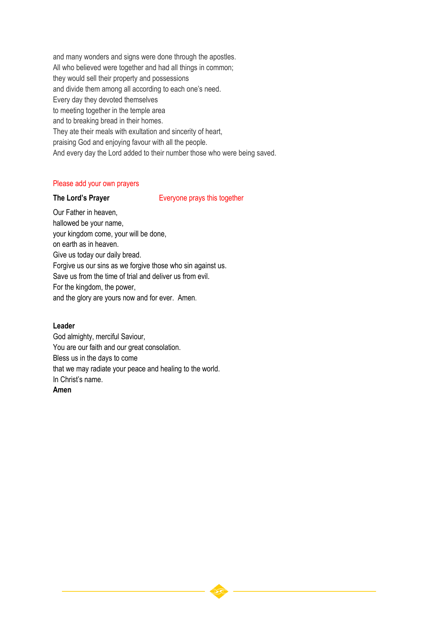and many wonders and signs were done through the apostles. All who believed were together and had all things in common; they would sell their property and possessions and divide them among all according to each one's need. Every day they devoted themselves to meeting together in the temple area and to breaking bread in their homes. They ate their meals with exultation and sincerity of heart, praising God and enjoying favour with all the people. And every day the Lord added to their number those who were being saved.

#### Please add your own prayers

**The Lord's Prayer** Everyone prays this together

Our Father in heaven, hallowed be your name, your kingdom come, your will be done, on earth as in heaven. Give us today our daily bread. Forgive us our sins as we forgive those who sin against us. Save us from the time of trial and deliver us from evil. For the kingdom, the power, and the glory are yours now and for ever. Amen.

#### **Leader**

God almighty, merciful Saviour, You are our faith and our great consolation. Bless us in the days to come that we may radiate your peace and healing to the world. In Christ's name.

#### **Amen**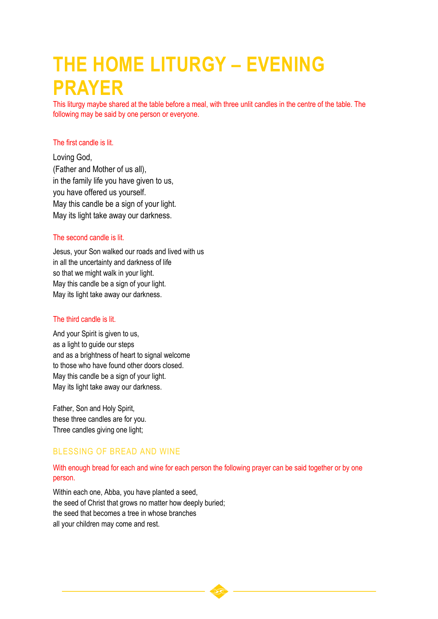# **THE HOME LITURGY – EVENING PRAYER**

This liturgy maybe shared at the table before a meal, with three unlit candles in the centre of the table. The following may be said by one person or everyone.

#### The first candle is lit.

Loving God, (Father and Mother of us all), in the family life you have given to us, you have offered us yourself. May this candle be a sign of your light. May its light take away our darkness.

#### The second candle is lit.

Jesus, your Son walked our roads and lived with us in all the uncertainty and darkness of life so that we might walk in your light. May this candle be a sign of your light. May its light take away our darkness.

#### The third candle is lit.

And your Spirit is given to us, as a light to guide our steps and as a brightness of heart to signal welcome to those who have found other doors closed. May this candle be a sign of your light. May its light take away our darkness.

Father, Son and Holy Spirit, these three candles are for you. Three candles giving one light;

### BLESSING OF BREAD AND WINE

### With enough bread for each and wine for each person the following prayer can be said together or by one person.

Within each one, Abba, you have planted a seed, the seed of Christ that grows no matter how deeply buried; the seed that becomes a tree in whose branches all your children may come and rest.